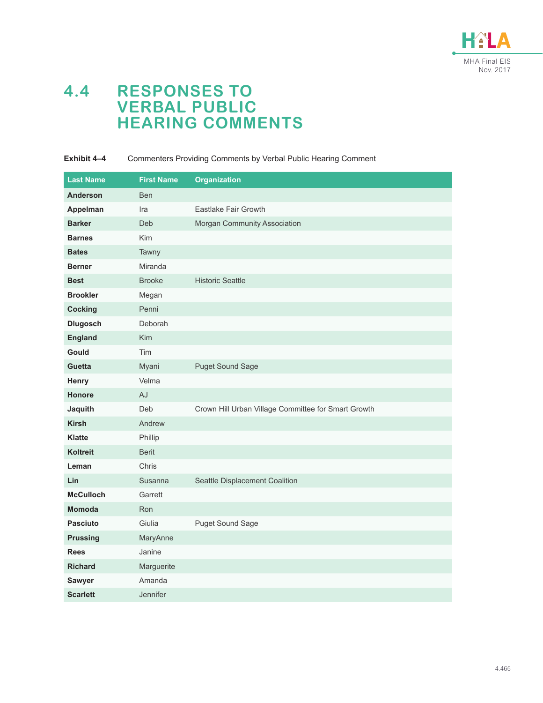

# **4.4 RESPONSES TO VERBAL PUBLIC HEARING COMMENTS**

### **Exhibit 4–4** Commenters Providing Comments by Verbal Public Hearing Comment

| <b>Last Name</b> | <b>First Name</b> | <b>Organization</b>                                 |
|------------------|-------------------|-----------------------------------------------------|
| <b>Anderson</b>  | <b>Ben</b>        |                                                     |
| Appelman         | Ira               | Eastlake Fair Growth                                |
| <b>Barker</b>    | Deb               | Morgan Community Association                        |
| <b>Barnes</b>    | Kim               |                                                     |
| <b>Bates</b>     | Tawny             |                                                     |
| <b>Berner</b>    | Miranda           |                                                     |
| <b>Best</b>      | <b>Brooke</b>     | <b>Historic Seattle</b>                             |
| <b>Brookler</b>  | Megan             |                                                     |
| <b>Cocking</b>   | Penni             |                                                     |
| <b>Dlugosch</b>  | Deborah           |                                                     |
| <b>England</b>   | Kim               |                                                     |
| <b>Gould</b>     | Tim               |                                                     |
| Guetta           | Myani             | <b>Puget Sound Sage</b>                             |
| Henry            | Velma             |                                                     |
| Honore           | AJ                |                                                     |
| Jaquith          | Deb               | Crown Hill Urban Village Committee for Smart Growth |
| <b>Kirsh</b>     | Andrew            |                                                     |
| <b>Klatte</b>    | Phillip           |                                                     |
| <b>Koltreit</b>  | <b>Berit</b>      |                                                     |
| Leman            | Chris             |                                                     |
| Lin              | Susanna           | Seattle Displacement Coalition                      |
| <b>McCulloch</b> | Garrett           |                                                     |
| <b>Momoda</b>    | Ron               |                                                     |
| <b>Pasciuto</b>  | Giulia            | Puget Sound Sage                                    |
| <b>Prussing</b>  | MaryAnne          |                                                     |
| <b>Rees</b>      | Janine            |                                                     |
| <b>Richard</b>   | Marguerite        |                                                     |
| Sawyer           | Amanda            |                                                     |
| <b>Scarlett</b>  | Jennifer          |                                                     |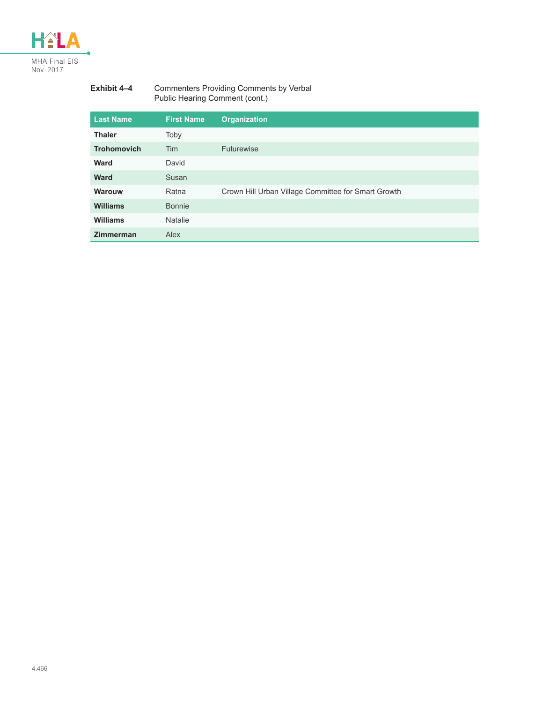

#### **Exhibit 4–4** Commenters Providing Comments by Verbal Public Hearing Comment (cont.)

| <b>Last Name</b>   | <b>First Name</b> | <b>Organization</b>                                 |
|--------------------|-------------------|-----------------------------------------------------|
| <b>Thaler</b>      | Toby              |                                                     |
| <b>Trohomovich</b> | <b>Tim</b>        | <b>Futurewise</b>                                   |
| <b>Ward</b>        | David             |                                                     |
| <b>Ward</b>        | Susan             |                                                     |
| Warouw             | Ratna             | Crown Hill Urban Village Committee for Smart Growth |
| Williams           | <b>Bonnie</b>     |                                                     |
| Williams           | <b>Natalie</b>    |                                                     |
| <b>Zimmerman</b>   | Alex              |                                                     |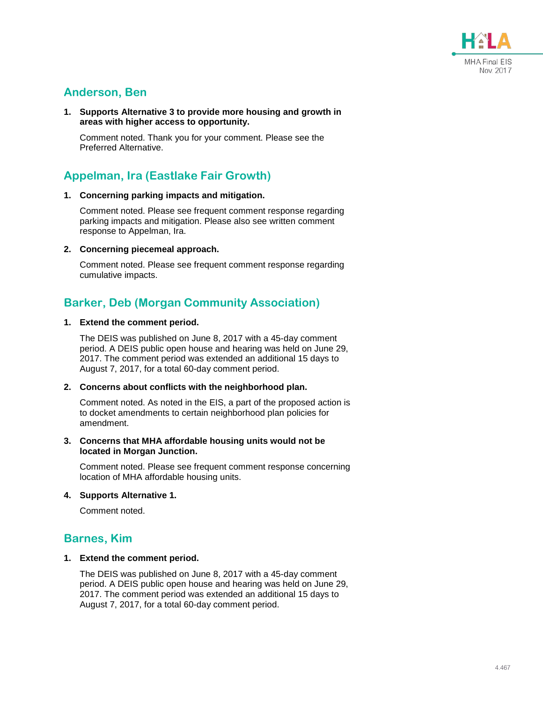

## **Anderson, Ben**

**1. Supports Alternative 3 to provide more housing and growth in areas with higher access to opportunity.**

Comment noted. Thank you for your comment. Please see the Preferred Alternative.

## **Appelman, Ira (Eastlake Fair Growth)**

#### **1. Concerning parking impacts and mitigation.**

Comment noted. Please see frequent comment response regarding parking impacts and mitigation. Please also see written comment response to Appelman, Ira.

**2. Concerning piecemeal approach.**

Comment noted. Please see frequent comment response regarding cumulative impacts.

## **Barker, Deb (Morgan Community Association)**

#### **1. Extend the comment period.**

The DEIS was published on June 8, 2017 with a 45-day comment period. A DEIS public open house and hearing was held on June 29, 2017. The comment period was extended an additional 15 days to August 7, 2017, for a total 60-day comment period.

### **2. Concerns about conflicts with the neighborhood plan.**

Comment noted. As noted in the EIS, a part of the proposed action is to docket amendments to certain neighborhood plan policies for amendment.

#### **3. Concerns that MHA affordable housing units would not be located in Morgan Junction.**

Comment noted. Please see frequent comment response concerning location of MHA affordable housing units.

### **4. Supports Alternative 1.**

Comment noted.

### **Barnes, Kim**

### **1. Extend the comment period.**

The DEIS was published on June 8, 2017 with a 45-day comment period. A DEIS public open house and hearing was held on June 29, 2017. The comment period was extended an additional 15 days to August 7, 2017, for a total 60-day comment period.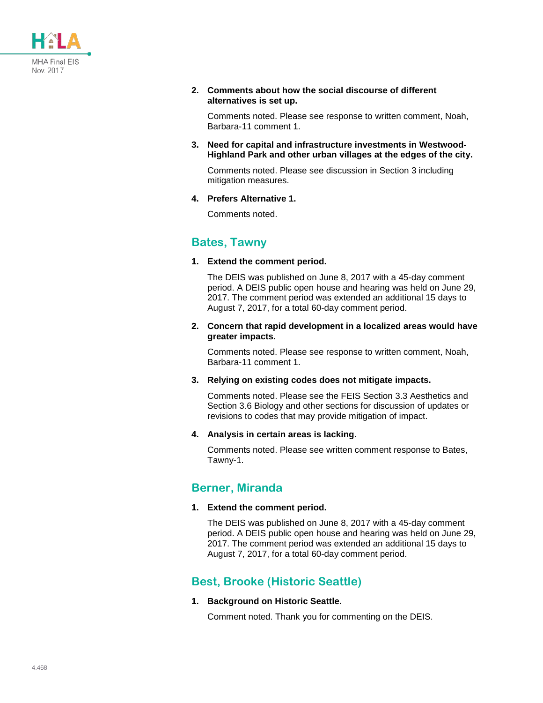

**2. Comments about how the social discourse of different alternatives is set up.**

Comments noted. Please see response to written comment, Noah, Barbara-11 comment 1.

**3. Need for capital and infrastructure investments in Westwood-Highland Park and other urban villages at the edges of the city.**

Comments noted. Please see discussion in Section 3 including mitigation measures.

**4. Prefers Alternative 1.**

Comments noted.

### **Bates, Tawny**

**1. Extend the comment period.**

The DEIS was published on June 8, 2017 with a 45-day comment period. A DEIS public open house and hearing was held on June 29, 2017. The comment period was extended an additional 15 days to August 7, 2017, for a total 60-day comment period.

**2. Concern that rapid development in a localized areas would have greater impacts.**

Comments noted. Please see response to written comment, Noah, Barbara-11 comment 1.

**3. Relying on existing codes does not mitigate impacts.**

Comments noted. Please see the FEIS Section 3.3 Aesthetics and Section 3.6 Biology and other sections for discussion of updates or revisions to codes that may provide mitigation of impact.

**4. Analysis in certain areas is lacking.**

Comments noted. Please see written comment response to Bates, Tawny-1.

### **Berner, Miranda**

**1. Extend the comment period.**

The DEIS was published on June 8, 2017 with a 45-day comment period. A DEIS public open house and hearing was held on June 29, 2017. The comment period was extended an additional 15 days to August 7, 2017, for a total 60-day comment period.

## **Best, Brooke (Historic Seattle)**

**1. Background on Historic Seattle.**

Comment noted. Thank you for commenting on the DEIS.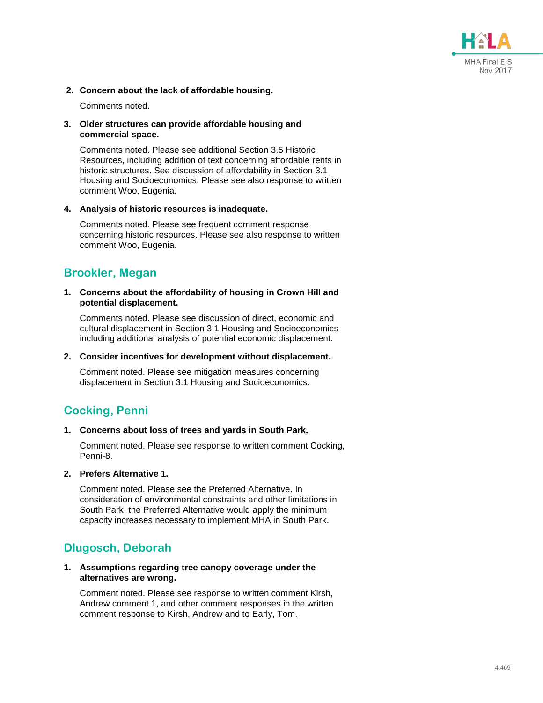

### **2. Concern about the lack of affordable housing.**

Comments noted.

### **3. Older structures can provide affordable housing and commercial space.**

Comments noted. Please see additional Section 3.5 Historic Resources, including addition of text concerning affordable rents in historic structures. See discussion of affordability in Section 3.1 Housing and Socioeconomics. Please see also response to written comment Woo, Eugenia.

### **4. Analysis of historic resources is inadequate.**

Comments noted. Please see frequent comment response concerning historic resources. Please see also response to written comment Woo, Eugenia.

### **Brookler, Megan**

#### **1. Concerns about the affordability of housing in Crown Hill and potential displacement.**

Comments noted. Please see discussion of direct, economic and cultural displacement in Section 3.1 Housing and Socioeconomics including additional analysis of potential economic displacement.

### **2. Consider incentives for development without displacement.**

Comment noted. Please see mitigation measures concerning displacement in Section 3.1 Housing and Socioeconomics.

## **Cocking, Penni**

### **1. Concerns about loss of trees and yards in South Park.**

Comment noted. Please see response to written comment Cocking, Penni-8.

**2. Prefers Alternative 1.**

Comment noted. Please see the Preferred Alternative. In consideration of environmental constraints and other limitations in South Park, the Preferred Alternative would apply the minimum capacity increases necessary to implement MHA in South Park.

### **Dlugosch, Deborah**

### **1. Assumptions regarding tree canopy coverage under the alternatives are wrong.**

Comment noted. Please see response to written comment Kirsh, Andrew comment 1, and other comment responses in the written comment response to Kirsh, Andrew and to Early, Tom.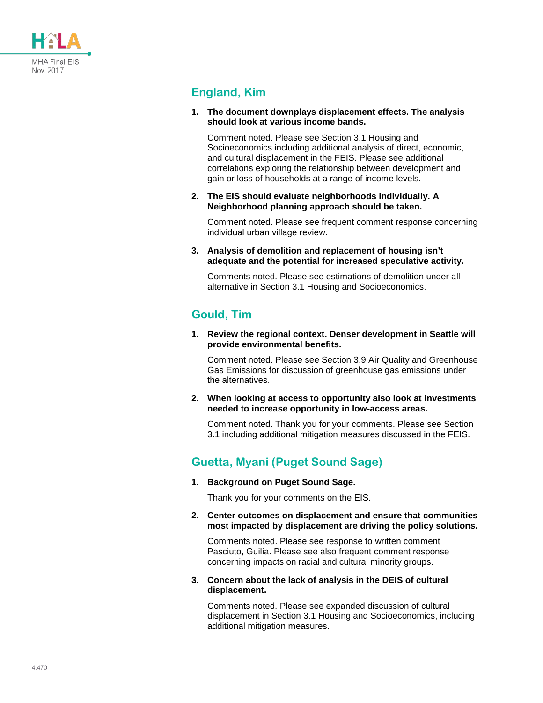

## **England, Kim**

**1. The document downplays displacement effects. The analysis should look at various income bands.**

Comment noted. Please see Section 3.1 Housing and Socioeconomics including additional analysis of direct, economic, and cultural displacement in the FEIS. Please see additional correlations exploring the relationship between development and gain or loss of households at a range of income levels.

**2. The EIS should evaluate neighborhoods individually. A Neighborhood planning approach should be taken.**

Comment noted. Please see frequent comment response concerning individual urban village review.

**3. Analysis of demolition and replacement of housing isn't adequate and the potential for increased speculative activity.**

Comments noted. Please see estimations of demolition under all alternative in Section 3.1 Housing and Socioeconomics.

### **Gould, Tim**

**1. Review the regional context. Denser development in Seattle will provide environmental benefits.**

Comment noted. Please see Section 3.9 Air Quality and Greenhouse Gas Emissions for discussion of greenhouse gas emissions under the alternatives.

**2. When looking at access to opportunity also look at investments needed to increase opportunity in low-access areas.**

Comment noted. Thank you for your comments. Please see Section 3.1 including additional mitigation measures discussed in the FEIS.

## **Guetta, Myani (Puget Sound Sage)**

**1. Background on Puget Sound Sage.**

Thank you for your comments on the EIS.

**2. Center outcomes on displacement and ensure that communities most impacted by displacement are driving the policy solutions.**

Comments noted. Please see response to written comment Pasciuto, Guilia. Please see also frequent comment response concerning impacts on racial and cultural minority groups.

**3. Concern about the lack of analysis in the DEIS of cultural displacement.**

Comments noted. Please see expanded discussion of cultural displacement in Section 3.1 Housing and Socioeconomics, including additional mitigation measures.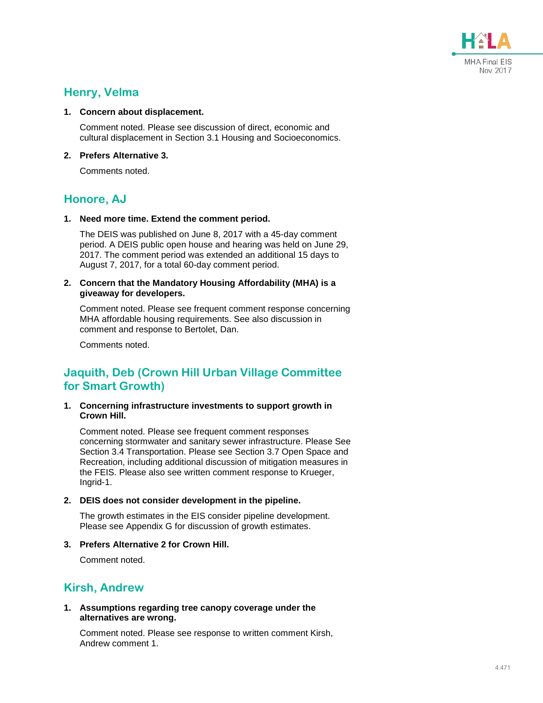

### **Henry, Velma**

#### **1. Concern about displacement.**

Comment noted. Please see discussion of direct, economic and cultural displacement in Section 3.1 Housing and Socioeconomics.

### **2. Prefers Alternative 3.**

Comments noted.

### **Honore, AJ**

**1. Need more time. Extend the comment period.**

The DEIS was published on June 8, 2017 with a 45-day comment period. A DEIS public open house and hearing was held on June 29, 2017. The comment period was extended an additional 15 days to August 7, 2017, for a total 60-day comment period.

#### **2. Concern that the Mandatory Housing Affordability (MHA) is a giveaway for developers.**

Comment noted. Please see frequent comment response concerning MHA affordable housing requirements. See also discussion in comment and response to Bertolet, Dan.

Comments noted.

## **Jaquith, Deb (Crown Hill Urban Village Committee for Smart Growth)**

**1. Concerning infrastructure investments to support growth in Crown Hill.**

Comment noted. Please see frequent comment responses concerning stormwater and sanitary sewer infrastructure. Please See Section 3.4 Transportation. Please see Section 3.7 Open Space and Recreation, including additional discussion of mitigation measures in the FEIS. Please also see written comment response to Krueger, Ingrid-1.

**2. DEIS does not consider development in the pipeline.**

The growth estimates in the EIS consider pipeline development. Please see Appendix G for discussion of growth estimates.

**3. Prefers Alternative 2 for Crown Hill.**

Comment noted.

### **Kirsh, Andrew**

**1. Assumptions regarding tree canopy coverage under the alternatives are wrong.**

Comment noted. Please see response to written comment Kirsh, Andrew comment 1.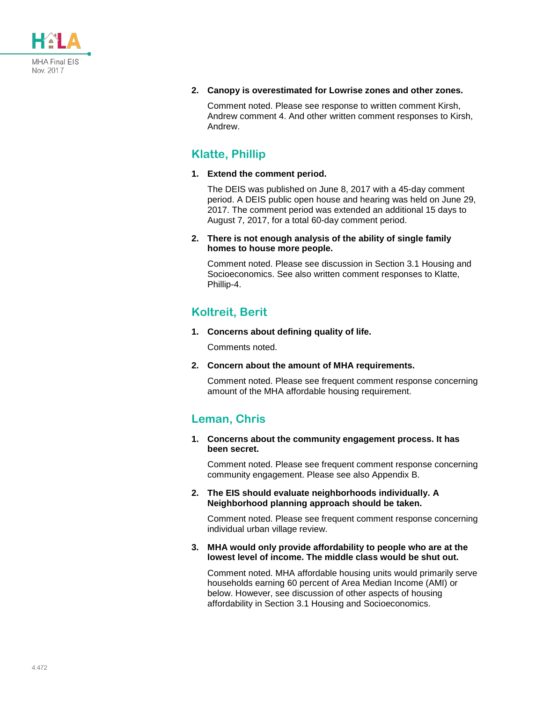

### **2. Canopy is overestimated for Lowrise zones and other zones.**

Comment noted. Please see response to written comment Kirsh, Andrew comment 4. And other written comment responses to Kirsh, Andrew.

### **Klatte, Phillip**

### **1. Extend the comment period.**

The DEIS was published on June 8, 2017 with a 45-day comment period. A DEIS public open house and hearing was held on June 29, 2017. The comment period was extended an additional 15 days to August 7, 2017, for a total 60-day comment period.

### **2. There is not enough analysis of the ability of single family homes to house more people.**

Comment noted. Please see discussion in Section 3.1 Housing and Socioeconomics. See also written comment responses to Klatte, Phillip-4.

## **Koltreit, Berit**

**1. Concerns about defining quality of life.**

Comments noted.

**2. Concern about the amount of MHA requirements.**

Comment noted. Please see frequent comment response concerning amount of the MHA affordable housing requirement.

### **Leman, Chris**

**1. Concerns about the community engagement process. It has been secret.**

Comment noted. Please see frequent comment response concerning community engagement. Please see also Appendix B.

**2. The EIS should evaluate neighborhoods individually. A Neighborhood planning approach should be taken.**

Comment noted. Please see frequent comment response concerning individual urban village review.

**3. MHA would only provide affordability to people who are at the lowest level of income. The middle class would be shut out.**

Comment noted. MHA affordable housing units would primarily serve households earning 60 percent of Area Median Income (AMI) or below. However, see discussion of other aspects of housing affordability in Section 3.1 Housing and Socioeconomics.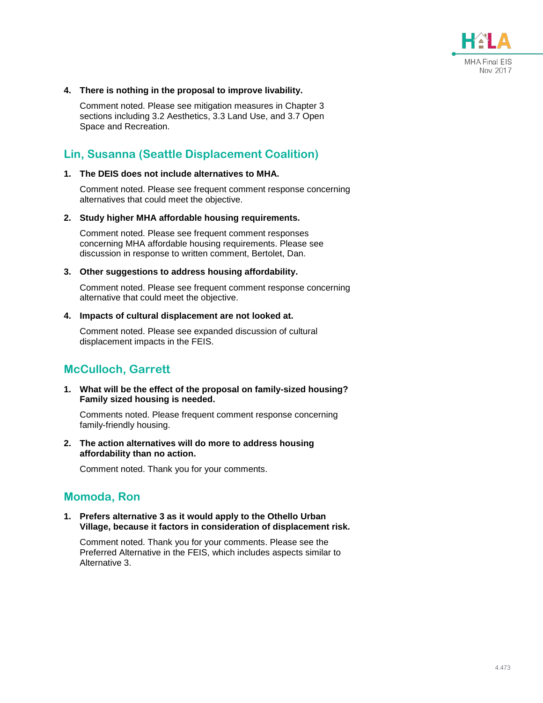

#### **4. There is nothing in the proposal to improve livability.**

Comment noted. Please see mitigation measures in Chapter 3 sections including 3.2 Aesthetics, 3.3 Land Use, and 3.7 Open Space and Recreation.

### **Lin, Susanna (Seattle Displacement Coalition)**

#### **1. The DEIS does not include alternatives to MHA.**

Comment noted. Please see frequent comment response concerning alternatives that could meet the objective.

#### **2. Study higher MHA affordable housing requirements.**

Comment noted. Please see frequent comment responses concerning MHA affordable housing requirements. Please see discussion in response to written comment, Bertolet, Dan.

#### **3. Other suggestions to address housing affordability.**

Comment noted. Please see frequent comment response concerning alternative that could meet the objective.

#### **4. Impacts of cultural displacement are not looked at.**

Comment noted. Please see expanded discussion of cultural displacement impacts in the FEIS.

### **McCulloch, Garrett**

**1. What will be the effect of the proposal on family-sized housing? Family sized housing is needed.**

Comments noted. Please frequent comment response concerning family-friendly housing.

**2. The action alternatives will do more to address housing affordability than no action.**

Comment noted. Thank you for your comments.

### **Momoda, Ron**

**1. Prefers alternative 3 as it would apply to the Othello Urban Village, because it factors in consideration of displacement risk.**

Comment noted. Thank you for your comments. Please see the Preferred Alternative in the FEIS, which includes aspects similar to Alternative 3.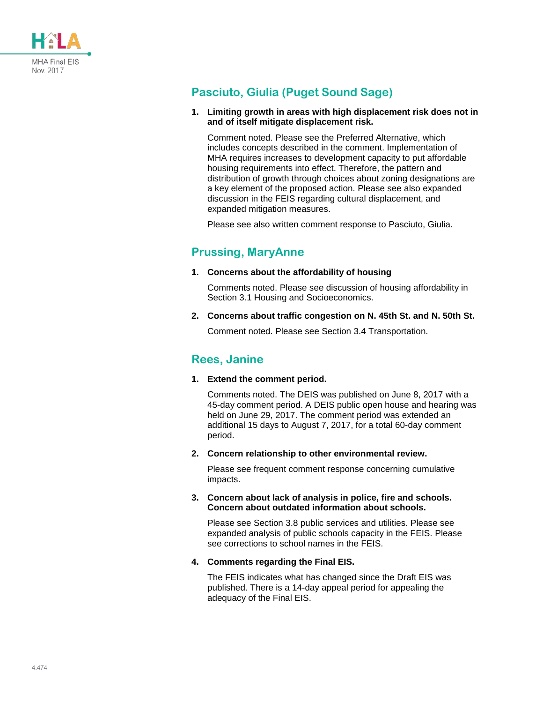

## **Pasciuto, Giulia (Puget Sound Sage)**

### **1. Limiting growth in areas with high displacement risk does not in and of itself mitigate displacement risk.**

Comment noted. Please see the Preferred Alternative, which includes concepts described in the comment. Implementation of MHA requires increases to development capacity to put affordable housing requirements into effect. Therefore, the pattern and distribution of growth through choices about zoning designations are a key element of the proposed action. Please see also expanded discussion in the FEIS regarding cultural displacement, and expanded mitigation measures.

Please see also written comment response to Pasciuto, Giulia.

## **Prussing, MaryAnne**

**1. Concerns about the affordability of housing**

Comments noted. Please see discussion of housing affordability in Section 3.1 Housing and Socioeconomics.

**2. Concerns about traffic congestion on N. 45th St. and N. 50th St.**

Comment noted. Please see Section 3.4 Transportation.

### **Rees, Janine**

**1. Extend the comment period.**

Comments noted. The DEIS was published on June 8, 2017 with a 45-day comment period. A DEIS public open house and hearing was held on June 29, 2017. The comment period was extended an additional 15 days to August 7, 2017, for a total 60-day comment period.

**2. Concern relationship to other environmental review.**

Please see frequent comment response concerning cumulative impacts.

**3. Concern about lack of analysis in police, fire and schools. Concern about outdated information about schools.**

Please see Section 3.8 public services and utilities. Please see expanded analysis of public schools capacity in the FEIS. Please see corrections to school names in the FEIS.

### **4. Comments regarding the Final EIS.**

The FEIS indicates what has changed since the Draft EIS was published. There is a 14-day appeal period for appealing the adequacy of the Final EIS.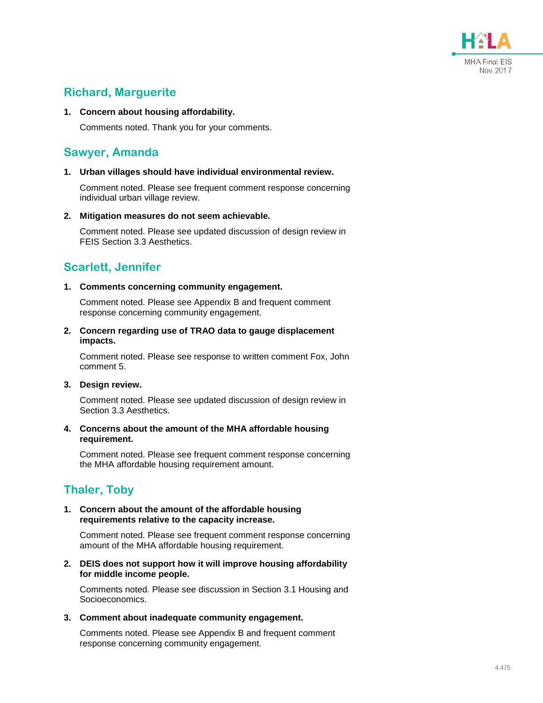

## **Richard, Marguerite**

### **1. Concern about housing affordability.**

Comments noted. Thank you for your comments.

### **Sawyer, Amanda**

### **1. Urban villages should have individual environmental review.**

Comment noted. Please see frequent comment response concerning individual urban village review.

### **2. Mitigation measures do not seem achievable.**

Comment noted. Please see updated discussion of design review in FEIS Section 3.3 Aesthetics.

## **Scarlett, Jennifer**

### **1. Comments concerning community engagement.**

Comment noted. Please see Appendix B and frequent comment response concerning community engagement.

### **2. Concern regarding use of TRAO data to gauge displacement impacts.**

Comment noted. Please see response to written comment Fox, John comment 5.

### **3. Design review.**

Comment noted. Please see updated discussion of design review in Section 3.3 Aesthetics.

### **4. Concerns about the amount of the MHA affordable housing requirement.**

Comment noted. Please see frequent comment response concerning the MHA affordable housing requirement amount.

## **Thaler, Toby**

### **1. Concern about the amount of the affordable housing requirements relative to the capacity increase.**

Comment noted. Please see frequent comment response concerning amount of the MHA affordable housing requirement.

### **2. DEIS does not support how it will improve housing affordability for middle income people.**

Comments noted. Please see discussion in Section 3.1 Housing and Socioeconomics.

### **3. Comment about inadequate community engagement.**

Comments noted. Please see Appendix B and frequent comment response concerning community engagement.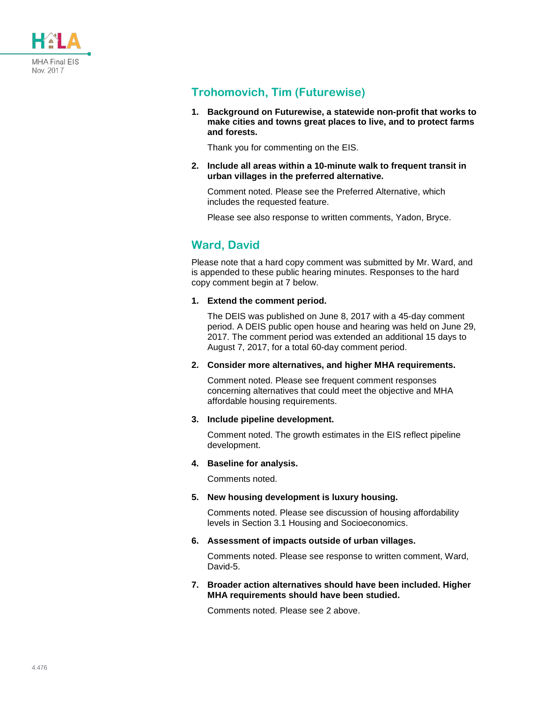

## **Trohomovich, Tim (Futurewise)**

**1. Background on Futurewise, a statewide non-profit that works to make cities and towns great places to live, and to protect farms and forests.**

Thank you for commenting on the EIS.

**2. Include all areas within a 10-minute walk to frequent transit in urban villages in the preferred alternative.**

Comment noted. Please see the Preferred Alternative, which includes the requested feature.

Please see also response to written comments, Yadon, Bryce.

## **Ward, David**

Please note that a hard copy comment was submitted by Mr. Ward, and is appended to these public hearing minutes. Responses to the hard copy comment begin at 7 below.

**1. Extend the comment period.**

The DEIS was published on June 8, 2017 with a 45-day comment period. A DEIS public open house and hearing was held on June 29, 2017. The comment period was extended an additional 15 days to August 7, 2017, for a total 60-day comment period.

**2. Consider more alternatives, and higher MHA requirements.**

Comment noted. Please see frequent comment responses concerning alternatives that could meet the objective and MHA affordable housing requirements.

**3. Include pipeline development.**

Comment noted. The growth estimates in the EIS reflect pipeline development.

### **4. Baseline for analysis.**

Comments noted.

**5. New housing development is luxury housing.**

Comments noted. Please see discussion of housing affordability levels in Section 3.1 Housing and Socioeconomics.

**6. Assessment of impacts outside of urban villages.**

Comments noted. Please see response to written comment, Ward, David-5.

**7. Broader action alternatives should have been included. Higher MHA requirements should have been studied.**

Comments noted. Please see 2 above.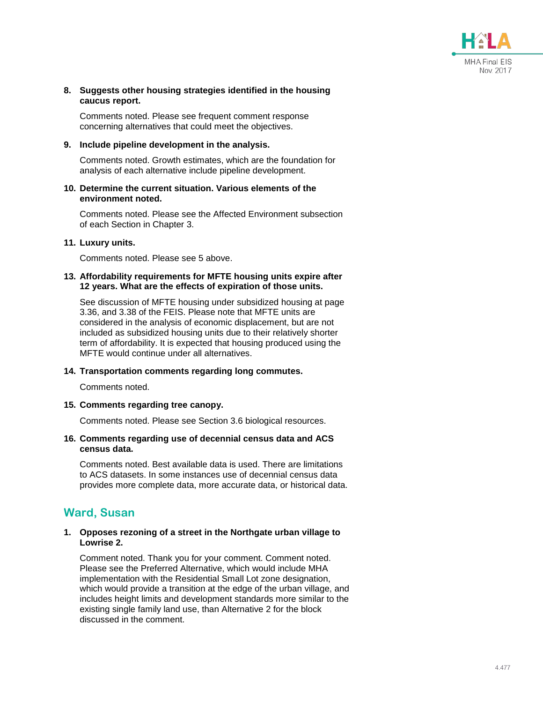

### **8. Suggests other housing strategies identified in the housing caucus report.**

Comments noted. Please see frequent comment response concerning alternatives that could meet the objectives.

#### **9. Include pipeline development in the analysis.**

Comments noted. Growth estimates, which are the foundation for analysis of each alternative include pipeline development.

#### **10. Determine the current situation. Various elements of the environment noted.**

Comments noted. Please see the Affected Environment subsection of each Section in Chapter 3.

### **11. Luxury units.**

Comments noted. Please see 5 above.

#### **13. Affordability requirements for MFTE housing units expire after 12 years. What are the effects of expiration of those units.**

See discussion of MFTE housing under subsidized housing at page 3.36, and 3.38 of the FEIS. Please note that MFTE units are considered in the analysis of economic displacement, but are not included as subsidized housing units due to their relatively shorter term of affordability. It is expected that housing produced using the MFTE would continue under all alternatives.

### **14. Transportation comments regarding long commutes.**

Comments noted.

### **15. Comments regarding tree canopy.**

Comments noted. Please see Section 3.6 biological resources.

### **16. Comments regarding use of decennial census data and ACS census data.**

Comments noted. Best available data is used. There are limitations to ACS datasets. In some instances use of decennial census data provides more complete data, more accurate data, or historical data.

### **Ward, Susan**

### **1. Opposes rezoning of a street in the Northgate urban village to Lowrise 2.**

Comment noted. Thank you for your comment. Comment noted. Please see the Preferred Alternative, which would include MHA implementation with the Residential Small Lot zone designation, which would provide a transition at the edge of the urban village, and includes height limits and development standards more similar to the existing single family land use, than Alternative 2 for the block discussed in the comment.